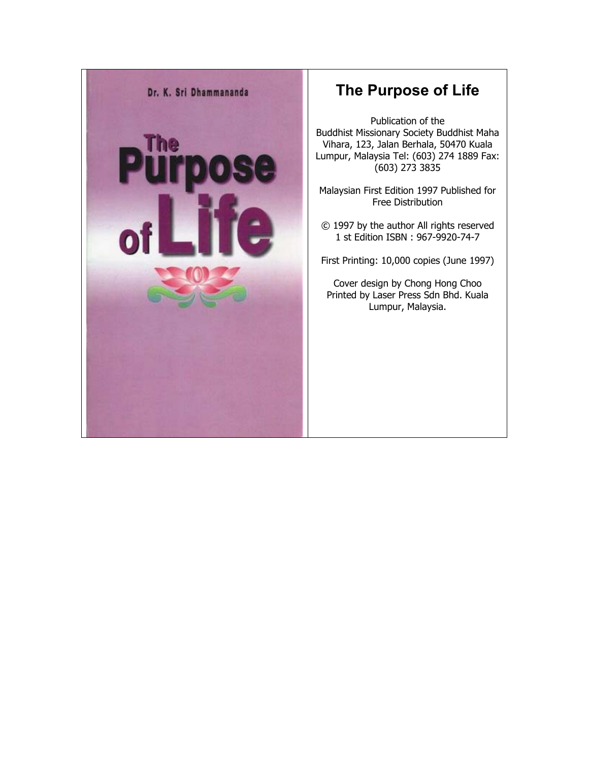

## **The Purpose of Life**

Publication of the Buddhist Missionary Society Buddhist Maha Vihara, 123, Jalan Berhala, 50470 Kuala Lumpur, Malaysia Tel: (603) 274 1889 Fax: (603) 273 3835

Malaysian First Edition 1997 Published for Free Distribution

© 1997 by the author All rights reserved 1 st Edition ISBN : 967-9920-74-7

First Printing: 10,000 copies (June 1997)

Cover design by Chong Hong Choo Printed by Laser Press Sdn Bhd. Kuala Lumpur, Malaysia.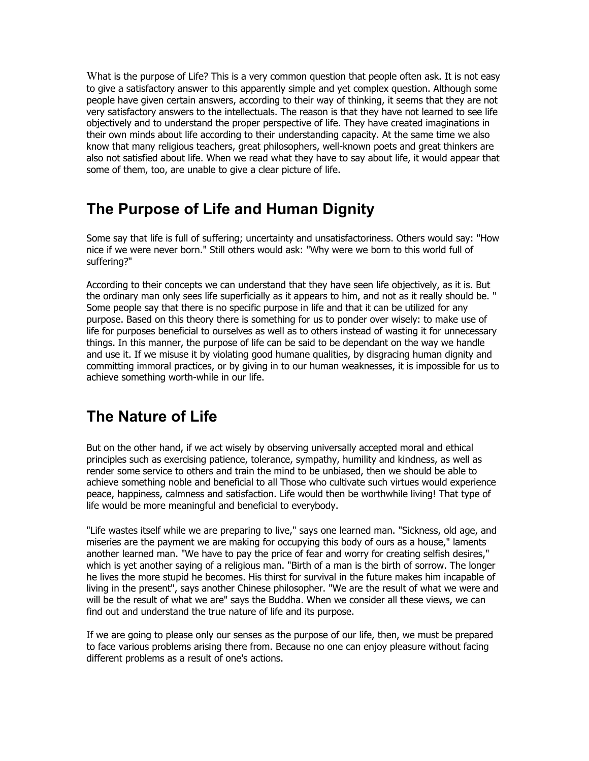What is the purpose of Life? This is a very common question that people often ask. It is not easy to give a satisfactory answer to this apparently simple and yet complex question. Although some people have given certain answers, according to their way of thinking, it seems that they are not very satisfactory answers to the intellectuals. The reason is that they have not learned to see life objectively and to understand the proper perspective of life. They have created imaginations in their own minds about life according to their understanding capacity. At the same time we also know that many religious teachers, great philosophers, well-known poets and great thinkers are also not satisfied about life. When we read what they have to say about life, it would appear that some of them, too, are unable to give a clear picture of life.

#### **The Purpose of Life and Human Dignity**

Some say that life is full of suffering; uncertainty and unsatisfactoriness. Others would say: "How nice if we were never born." Still others would ask: "Why were we born to this world full of suffering?"

According to their concepts we can understand that they have seen life objectively, as it is. But the ordinary man only sees life superficially as it appears to him, and not as it really should be. " Some people say that there is no specific purpose in life and that it can be utilized for any purpose. Based on this theory there is something for us to ponder over wisely: to make use of life for purposes beneficial to ourselves as well as to others instead of wasting it for unnecessary things. In this manner, the purpose of life can be said to be dependant on the way we handle and use it. If we misuse it by violating good humane qualities, by disgracing human dignity and committing immoral practices, or by giving in to our human weaknesses, it is impossible for us to achieve something worth-while in our life.

#### **The Nature of Life**

But on the other hand, if we act wisely by observing universally accepted moral and ethical principles such as exercising patience, tolerance, sympathy, humility and kindness, as well as render some service to others and train the mind to be unbiased, then we should be able to achieve something noble and beneficial to all Those who cultivate such virtues would experience peace, happiness, calmness and satisfaction. Life would then be worthwhile living! That type of life would be more meaningful and beneficial to everybody.

"Life wastes itself while we are preparing to live," says one learned man. "Sickness, old age, and miseries are the payment we are making for occupying this body of ours as a house," laments another learned man. "We have to pay the price of fear and worry for creating selfish desires," which is yet another saying of a religious man. "Birth of a man is the birth of sorrow. The longer he lives the more stupid he becomes. His thirst for survival in the future makes him incapable of living in the present", says another Chinese philosopher. "We are the result of what we were and will be the result of what we are" says the Buddha. When we consider all these views, we can find out and understand the true nature of life and its purpose.

If we are going to please only our senses as the purpose of our life, then, we must be prepared to face various problems arising there from. Because no one can enjoy pleasure without facing different problems as a result of one's actions.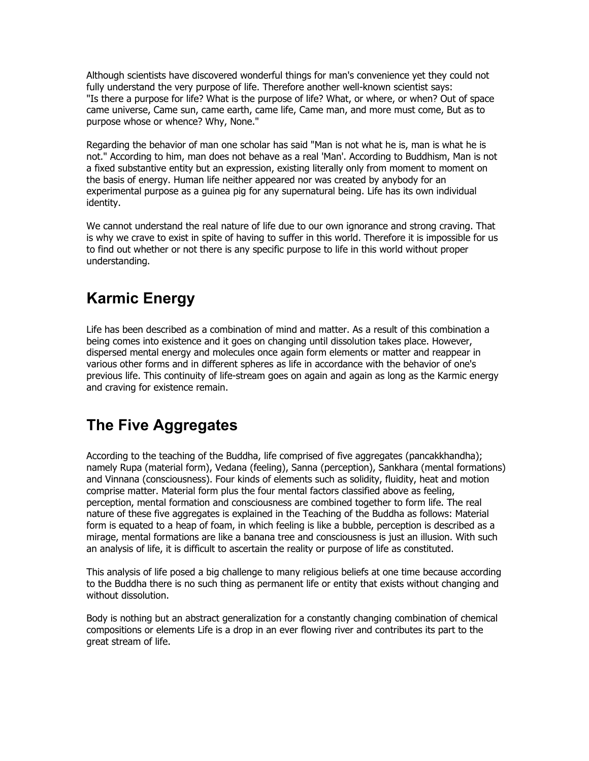Although scientists have discovered wonderful things for man's convenience yet they could not fully understand the very purpose of life. Therefore another well-known scientist says: "Is there a purpose for life? What is the purpose of life? What, or where, or when? Out of space came universe, Came sun, came earth, came life, Came man, and more must come, But as to purpose whose or whence? Why, None."

Regarding the behavior of man one scholar has said "Man is not what he is, man is what he is not." According to him, man does not behave as a real 'Man'. According to Buddhism, Man is not a fixed substantive entity but an expression, existing literally only from moment to moment on the basis of energy. Human life neither appeared nor was created by anybody for an experimental purpose as a guinea pig for any supernatural being. Life has its own individual identity.

We cannot understand the real nature of life due to our own ignorance and strong craving. That is why we crave to exist in spite of having to suffer in this world. Therefore it is impossible for us to find out whether or not there is any specific purpose to life in this world without proper understanding.

# **Karmic Energy**

Life has been described as a combination of mind and matter. As a result of this combination a being comes into existence and it goes on changing until dissolution takes place. However, dispersed mental energy and molecules once again form elements or matter and reappear in various other forms and in different spheres as life in accordance with the behavior of one's previous life. This continuity of life-stream goes on again and again as long as the Karmic energy and craving for existence remain.

# **The Five Aggregates**

According to the teaching of the Buddha, life comprised of five aggregates (pancakkhandha); namely Rupa (material form), Vedana (feeling), Sanna (perception), Sankhara (mental formations) and Vinnana (consciousness). Four kinds of elements such as solidity, fluidity, heat and motion comprise matter. Material form plus the four mental factors classified above as feeling, perception, mental formation and consciousness are combined together to form life. The real nature of these five aggregates is explained in the Teaching of the Buddha as follows: Material form is equated to a heap of foam, in which feeling is like a bubble, perception is described as a mirage, mental formations are like a banana tree and consciousness is just an illusion. With such an analysis of life, it is difficult to ascertain the reality or purpose of life as constituted.

This analysis of life posed a big challenge to many religious beliefs at one time because according to the Buddha there is no such thing as permanent life or entity that exists without changing and without dissolution.

Body is nothing but an abstract generalization for a constantly changing combination of chemical compositions or elements Life is a drop in an ever flowing river and contributes its part to the great stream of life.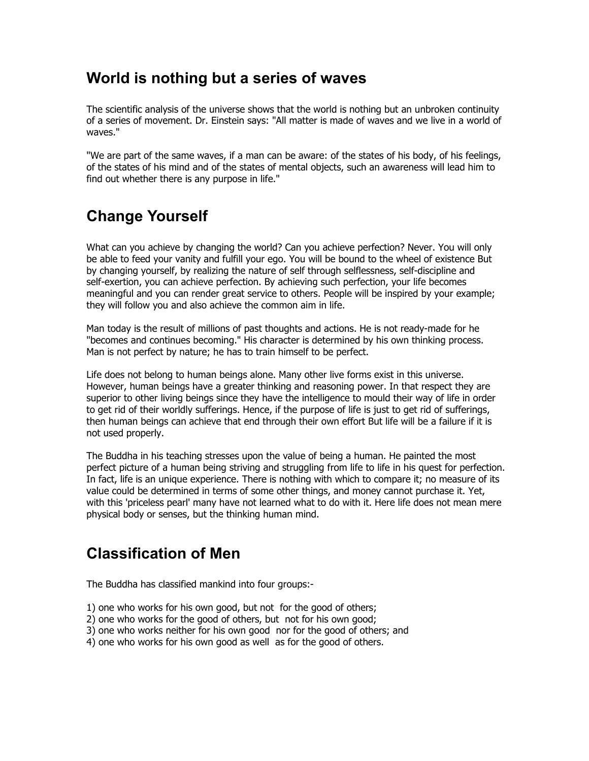#### **World is nothing but a series of waves**

The scientific analysis of the universe shows that the world is nothing but an unbroken continuity of a series of movement. Dr. Einstein says: "All matter is made of waves and we live in a world of waves."

"We are part of the same waves, if a man can be aware: of the states of his body, of his feelings, of the states of his mind and of the states of mental objects, such an awareness will lead him to find out whether there is any purpose in life."

# **Change Yourself**

What can you achieve by changing the world? Can you achieve perfection? Never. You will only be able to feed your vanity and fulfill your ego. You will be bound to the wheel of existence But by changing yourself, by realizing the nature of self through selflessness, self-discipline and self-exertion, you can achieve perfection. By achieving such perfection, your life becomes meaningful and you can render great service to others. People will be inspired by your example; they will follow you and also achieve the common aim in life.

Man today is the result of millions of past thoughts and actions. He is not ready-made for he "becomes and continues becoming." His character is determined by his own thinking process. Man is not perfect by nature; he has to train himself to be perfect.

Life does not belong to human beings alone. Many other live forms exist in this universe. However, human beings have a greater thinking and reasoning power. In that respect they are superior to other living beings since they have the intelligence to mould their way of life in order to get rid of their worldly sufferings. Hence, if the purpose of life is just to get rid of sufferings, then human beings can achieve that end through their own effort But life will be a failure if it is not used properly.

The Buddha in his teaching stresses upon the value of being a human. He painted the most perfect picture of a human being striving and struggling from life to life in his quest for perfection. In fact, life is an unique experience. There is nothing with which to compare it; no measure of its value could be determined in terms of some other things, and money cannot purchase it. Yet, with this 'priceless pearl' many have not learned what to do with it. Here life does not mean mere physical body or senses, but the thinking human mind.

## **Classification of Men**

The Buddha has classified mankind into four groups:-

- 1) one who works for his own good, but not for the good of others;
- 2) one who works for the good of others, but not for his own good;
- 3) one who works neither for his own good nor for the good of others; and
- 4) one who works for his own good as well as for the good of others.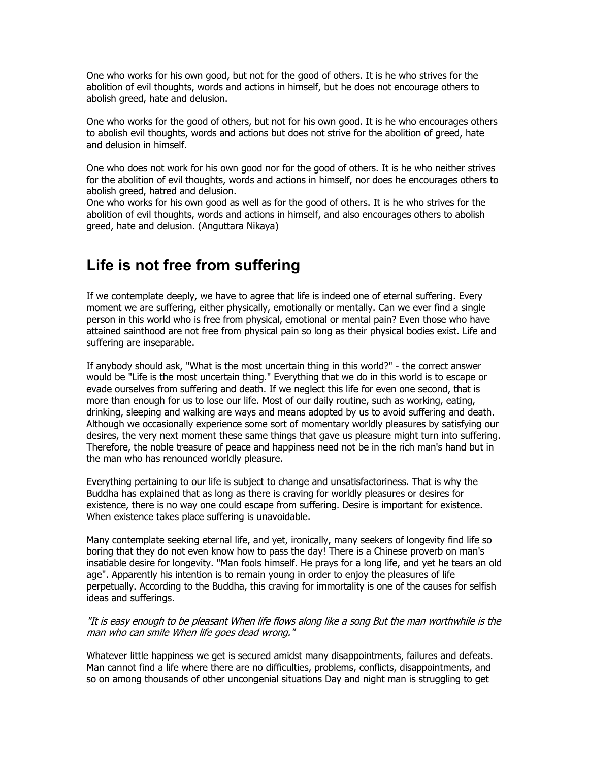One who works for his own good, but not for the good of others. It is he who strives for the abolition of evil thoughts, words and actions in himself, but he does not encourage others to abolish greed, hate and delusion.

One who works for the good of others, but not for his own good. It is he who encourages others to abolish evil thoughts, words and actions but does not strive for the abolition of greed, hate and delusion in himself.

One who does not work for his own good nor for the good of others. It is he who neither strives for the abolition of evil thoughts, words and actions in himself, nor does he encourages others to abolish greed, hatred and delusion.

One who works for his own good as well as for the good of others. It is he who strives for the abolition of evil thoughts, words and actions in himself, and also encourages others to abolish greed, hate and delusion. (Anguttara Nikaya)

## **Life is not free from suffering**

If we contemplate deeply, we have to agree that life is indeed one of eternal suffering. Every moment we are suffering, either physically, emotionally or mentally. Can we ever find a single person in this world who is free from physical, emotional or mental pain? Even those who have attained sainthood are not free from physical pain so long as their physical bodies exist. Life and suffering are inseparable.

If anybody should ask, "What is the most uncertain thing in this world?" - the correct answer would be "Life is the most uncertain thing." Everything that we do in this world is to escape or evade ourselves from suffering and death. If we neglect this life for even one second, that is more than enough for us to lose our life. Most of our daily routine, such as working, eating, drinking, sleeping and walking are ways and means adopted by us to avoid suffering and death. Although we occasionally experience some sort of momentary worldly pleasures by satisfying our desires, the very next moment these same things that gave us pleasure might turn into suffering. Therefore, the noble treasure of peace and happiness need not be in the rich man's hand but in the man who has renounced worldly pleasure.

Everything pertaining to our life is subject to change and unsatisfactoriness. That is why the Buddha has explained that as long as there is craving for worldly pleasures or desires for existence, there is no way one could escape from suffering. Desire is important for existence. When existence takes place suffering is unavoidable.

Many contemplate seeking eternal life, and yet, ironically, many seekers of longevity find life so boring that they do not even know how to pass the day! There is a Chinese proverb on man's insatiable desire for longevity. "Man fools himself. He prays for a long life, and yet he tears an old age". Apparently his intention is to remain young in order to enjoy the pleasures of life perpetually. According to the Buddha, this craving for immortality is one of the causes for selfish ideas and sufferings.

#### "It is easy enough to be pleasant When life flows along like a song But the man worthwhile is the man who can smile When life goes dead wrong."

Whatever little happiness we get is secured amidst many disappointments, failures and defeats. Man cannot find a life where there are no difficulties, problems, conflicts, disappointments, and so on among thousands of other uncongenial situations Day and night man is struggling to get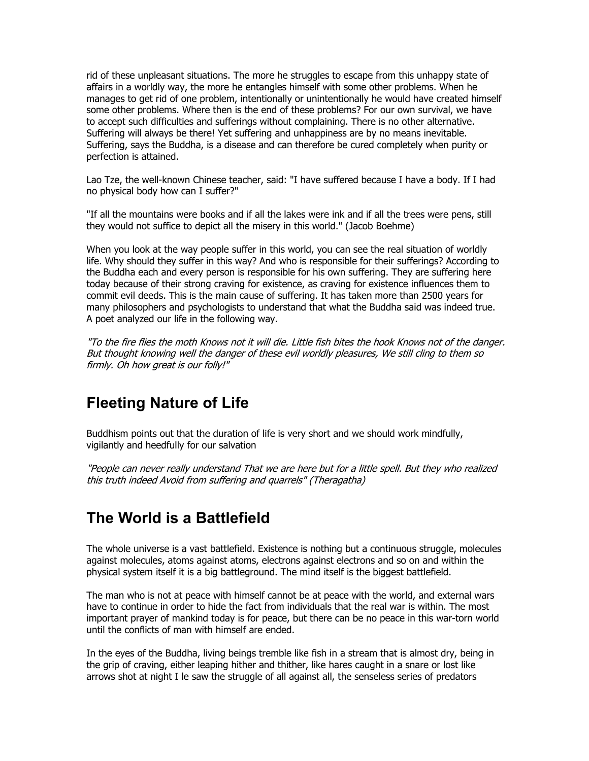rid of these unpleasant situations. The more he struggles to escape from this unhappy state of affairs in a worldly way, the more he entangles himself with some other problems. When he manages to get rid of one problem, intentionally or unintentionally he would have created himself some other problems. Where then is the end of these problems? For our own survival, we have to accept such difficulties and sufferings without complaining. There is no other alternative. Suffering will always be there! Yet suffering and unhappiness are by no means inevitable. Suffering, says the Buddha, is a disease and can therefore be cured completely when purity or perfection is attained.

Lao Tze, the well-known Chinese teacher, said: "I have suffered because I have a body. If I had no physical body how can I suffer?"

"If all the mountains were books and if all the lakes were ink and if all the trees were pens, still they would not suffice to depict all the misery in this world." (Jacob Boehme)

When you look at the way people suffer in this world, you can see the real situation of worldly life. Why should they suffer in this way? And who is responsible for their sufferings? According to the Buddha each and every person is responsible for his own suffering. They are suffering here today because of their strong craving for existence, as craving for existence influences them to commit evil deeds. This is the main cause of suffering. It has taken more than 2500 years for many philosophers and psychologists to understand that what the Buddha said was indeed true. A poet analyzed our life in the following way.

"To the fire flies the moth Knows not it will die. Little fish bites the hook Knows not of the danger. But thought knowing well the danger of these evil worldly pleasures, We still cling to them so firmly. Oh how great is our folly!"

#### **Fleeting Nature of Life**

Buddhism points out that the duration of life is very short and we should work mindfully, vigilantly and heedfully for our salvation

"People can never really understand That we are here but for a little spell. But they who realized this truth indeed Avoid from suffering and quarrels" (Theragatha)

## **The World is a Battlefield**

The whole universe is a vast battlefield. Existence is nothing but a continuous struggle, molecules against molecules, atoms against atoms, electrons against electrons and so on and within the physical system itself it is a big battleground. The mind itself is the biggest battlefield.

The man who is not at peace with himself cannot be at peace with the world, and external wars have to continue in order to hide the fact from individuals that the real war is within. The most important prayer of mankind today is for peace, but there can be no peace in this war-torn world until the conflicts of man with himself are ended.

In the eyes of the Buddha, living beings tremble like fish in a stream that is almost dry, being in the grip of craving, either leaping hither and thither, like hares caught in a snare or lost like arrows shot at night I le saw the struggle of all against all, the senseless series of predators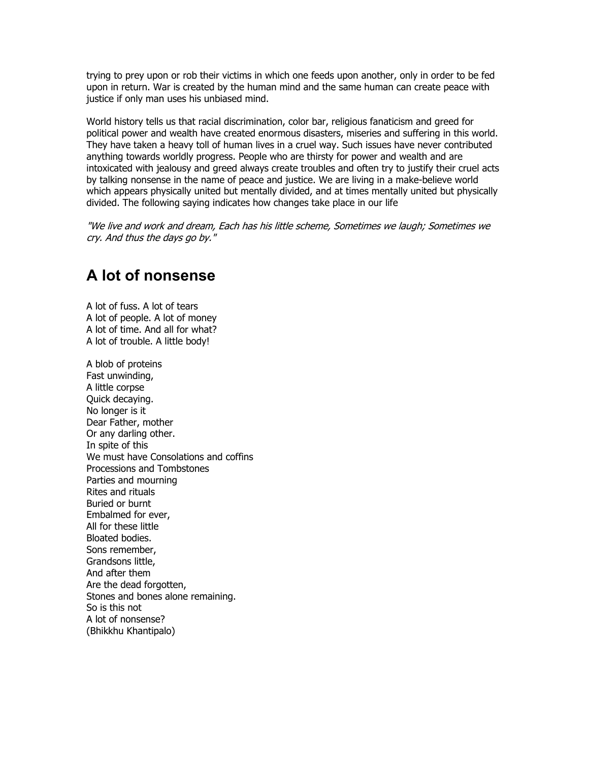trying to prey upon or rob their victims in which one feeds upon another, only in order to be fed upon in return. War is created by the human mind and the same human can create peace with justice if only man uses his unbiased mind.

World history tells us that racial discrimination, color bar, religious fanaticism and greed for political power and wealth have created enormous disasters, miseries and suffering in this world. They have taken a heavy toll of human lives in a cruel way. Such issues have never contributed anything towards worldly progress. People who are thirsty for power and wealth and are intoxicated with jealousy and greed always create troubles and often try to justify their cruel acts by talking nonsense in the name of peace and justice. We are living in a make-believe world which appears physically united but mentally divided, and at times mentally united but physically divided. The following saying indicates how changes take place in our life

"We live and work and dream, Each has his little scheme, Sometimes we laugh; Sometimes we cry. And thus the days go by."

#### **A lot of nonsense**

A lot of fuss. A lot of tears A lot of people. A lot of money A lot of time. And all for what? A lot of trouble. A little body!

A blob of proteins Fast unwinding, A little corpse Quick decaying. No longer is it Dear Father, mother Or any darling other. In spite of this We must have Consolations and coffins Processions and Tombstones Parties and mourning Rites and rituals Buried or burnt Embalmed for ever, All for these little Bloated bodies. Sons remember, Grandsons little, And after them Are the dead forgotten, Stones and bones alone remaining. So is this not A lot of nonsense? (Bhikkhu Khantipalo)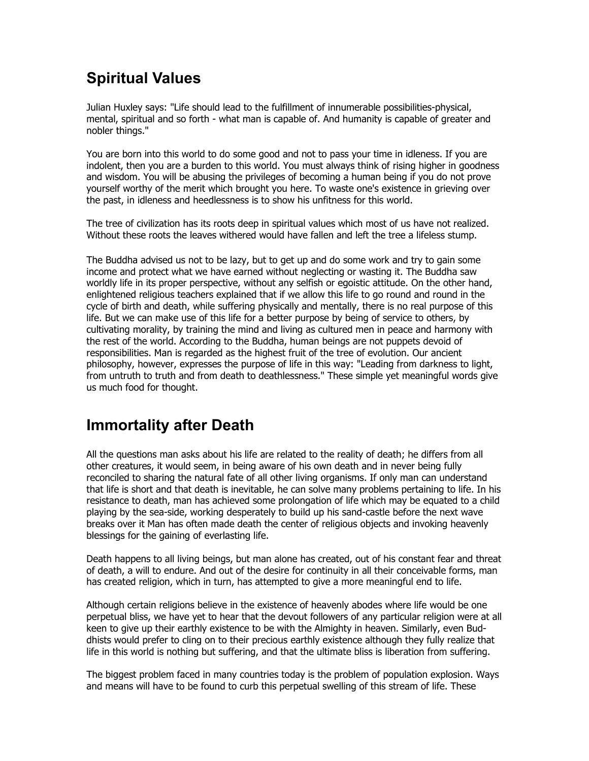# **Spiritual Values**

Julian Huxley says: "Life should lead to the fulfillment of innumerable possibilities-physical, mental, spiritual and so forth - what man is capable of. And humanity is capable of greater and nobler things."

You are born into this world to do some good and not to pass your time in idleness. If you are indolent, then you are a burden to this world. You must always think of rising higher in goodness and wisdom. You will be abusing the privileges of becoming a human being if you do not prove yourself worthy of the merit which brought you here. To waste one's existence in grieving over the past, in idleness and heedlessness is to show his unfitness for this world.

The tree of civilization has its roots deep in spiritual values which most of us have not realized. Without these roots the leaves withered would have fallen and left the tree a lifeless stump.

The Buddha advised us not to be lazy, but to get up and do some work and try to gain some income and protect what we have earned without neglecting or wasting it. The Buddha saw worldly life in its proper perspective, without any selfish or egoistic attitude. On the other hand, enlightened religious teachers explained that if we allow this life to go round and round in the cycle of birth and death, while suffering physically and mentally, there is no real purpose of this life. But we can make use of this life for a better purpose by being of service to others, by cultivating morality, by training the mind and living as cultured men in peace and harmony with the rest of the world. According to the Buddha, human beings are not puppets devoid of responsibilities. Man is regarded as the highest fruit of the tree of evolution. Our ancient philosophy, however, expresses the purpose of life in this way: "Leading from darkness to light, from untruth to truth and from death to deathlessness." These simple yet meaningful words give us much food for thought.

## **Immortality after Death**

All the questions man asks about his life are related to the reality of death; he differs from all other creatures, it would seem, in being aware of his own death and in never being fully reconciled to sharing the natural fate of all other living organisms. If only man can understand that life is short and that death is inevitable, he can solve many problems pertaining to life. In his resistance to death, man has achieved some prolongation of life which may be equated to a child playing by the sea-side, working desperately to build up his sand-castle before the next wave breaks over it Man has often made death the center of religious objects and invoking heavenly blessings for the gaining of everlasting life.

Death happens to all living beings, but man alone has created, out of his constant fear and threat of death, a will to endure. And out of the desire for continuity in all their conceivable forms, man has created religion, which in turn, has attempted to give a more meaningful end to life.

Although certain religions believe in the existence of heavenly abodes where life would be one perpetual bliss, we have yet to hear that the devout followers of any particular religion were at all keen to give up their earthly existence to be with the Almighty in heaven. Similarly, even Buddhists would prefer to cling on to their precious earthly existence although they fully realize that life in this world is nothing but suffering, and that the ultimate bliss is liberation from suffering.

The biggest problem faced in many countries today is the problem of population explosion. Ways and means will have to be found to curb this perpetual swelling of this stream of life. These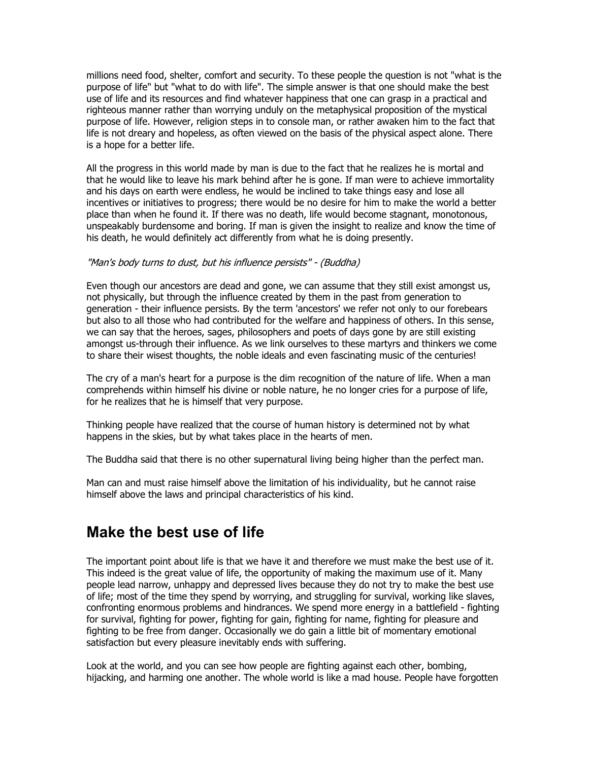millions need food, shelter, comfort and security. To these people the question is not "what is the purpose of life" but "what to do with life". The simple answer is that one should make the best use of life and its resources and find whatever happiness that one can grasp in a practical and righteous manner rather than worrying unduly on the metaphysical proposition of the mystical purpose of life. However, religion steps in to console man, or rather awaken him to the fact that life is not dreary and hopeless, as often viewed on the basis of the physical aspect alone. There is a hope for a better life.

All the progress in this world made by man is due to the fact that he realizes he is mortal and that he would like to leave his mark behind after he is gone. If man were to achieve immortality and his days on earth were endless, he would be inclined to take things easy and lose all incentives or initiatives to progress; there would be no desire for him to make the world a better place than when he found it. If there was no death, life would become stagnant, monotonous, unspeakably burdensome and boring. If man is given the insight to realize and know the time of his death, he would definitely act differently from what he is doing presently.

#### "Man's body turns to dust, but his influence persists" - (Buddha)

Even though our ancestors are dead and gone, we can assume that they still exist amongst us, not physically, but through the influence created by them in the past from generation to generation - their influence persists. By the term 'ancestors' we refer not only to our forebears but also to all those who had contributed for the welfare and happiness of others. In this sense, we can say that the heroes, sages, philosophers and poets of days gone by are still existing amongst us-through their influence. As we link ourselves to these martyrs and thinkers we come to share their wisest thoughts, the noble ideals and even fascinating music of the centuries!

The cry of a man's heart for a purpose is the dim recognition of the nature of life. When a man comprehends within himself his divine or noble nature, he no longer cries for a purpose of life, for he realizes that he is himself that very purpose.

Thinking people have realized that the course of human history is determined not by what happens in the skies, but by what takes place in the hearts of men.

The Buddha said that there is no other supernatural living being higher than the perfect man.

Man can and must raise himself above the limitation of his individuality, but he cannot raise himself above the laws and principal characteristics of his kind.

#### **Make the best use of life**

The important point about life is that we have it and therefore we must make the best use of it. This indeed is the great value of life, the opportunity of making the maximum use of it. Many people lead narrow, unhappy and depressed lives because they do not try to make the best use of life; most of the time they spend by worrying, and struggling for survival, working like slaves, confronting enormous problems and hindrances. We spend more energy in a battlefield - fighting for survival, fighting for power, fighting for gain, fighting for name, fighting for pleasure and fighting to be free from danger. Occasionally we do gain a little bit of momentary emotional satisfaction but every pleasure inevitably ends with suffering.

Look at the world, and you can see how people are fighting against each other, bombing, hijacking, and harming one another. The whole world is like a mad house. People have forgotten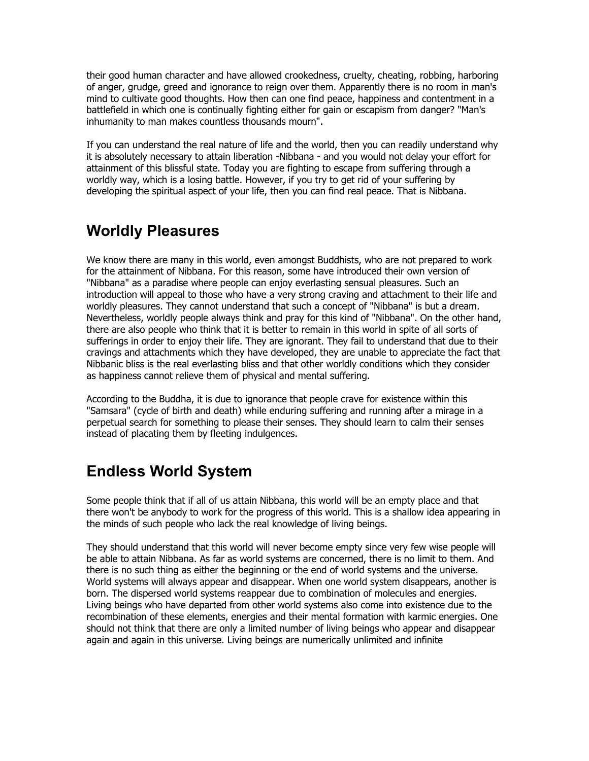their good human character and have allowed crookedness, cruelty, cheating, robbing, harboring of anger, grudge, greed and ignorance to reign over them. Apparently there is no room in man's mind to cultivate good thoughts. How then can one find peace, happiness and contentment in a battlefield in which one is continually fighting either for gain or escapism from danger? "Man's inhumanity to man makes countless thousands mourn".

If you can understand the real nature of life and the world, then you can readily understand why it is absolutely necessary to attain liberation -Nibbana - and you would not delay your effort for attainment of this blissful state. Today you are fighting to escape from suffering through a worldly way, which is a losing battle. However, if you try to get rid of your suffering by developing the spiritual aspect of your life, then you can find real peace. That is Nibbana.

## **Worldly Pleasures**

We know there are many in this world, even amongst Buddhists, who are not prepared to work for the attainment of Nibbana. For this reason, some have introduced their own version of "Nibbana" as a paradise where people can enjoy everlasting sensual pleasures. Such an introduction will appeal to those who have a very strong craving and attachment to their life and worldly pleasures. They cannot understand that such a concept of "Nibbana" is but a dream. Nevertheless, worldly people always think and pray for this kind of "Nibbana". On the other hand, there are also people who think that it is better to remain in this world in spite of all sorts of sufferings in order to enjoy their life. They are ignorant. They fail to understand that due to their cravings and attachments which they have developed, they are unable to appreciate the fact that Nibbanic bliss is the real everlasting bliss and that other worldly conditions which they consider as happiness cannot relieve them of physical and mental suffering.

According to the Buddha, it is due to ignorance that people crave for existence within this "Samsara" (cycle of birth and death) while enduring suffering and running after a mirage in a perpetual search for something to please their senses. They should learn to calm their senses instead of placating them by fleeting indulgences.

# **Endless World System**

Some people think that if all of us attain Nibbana, this world will be an empty place and that there won't be anybody to work for the progress of this world. This is a shallow idea appearing in the minds of such people who lack the real knowledge of living beings.

They should understand that this world will never become empty since very few wise people will be able to attain Nibbana. As far as world systems are concerned, there is no limit to them. And there is no such thing as either the beginning or the end of world systems and the universe. World systems will always appear and disappear. When one world system disappears, another is born. The dispersed world systems reappear due to combination of molecules and energies. Living beings who have departed from other world systems also come into existence due to the recombination of these elements, energies and their mental formation with karmic energies. One should not think that there are only a limited number of living beings who appear and disappear again and again in this universe. Living beings are numerically unlimited and infinite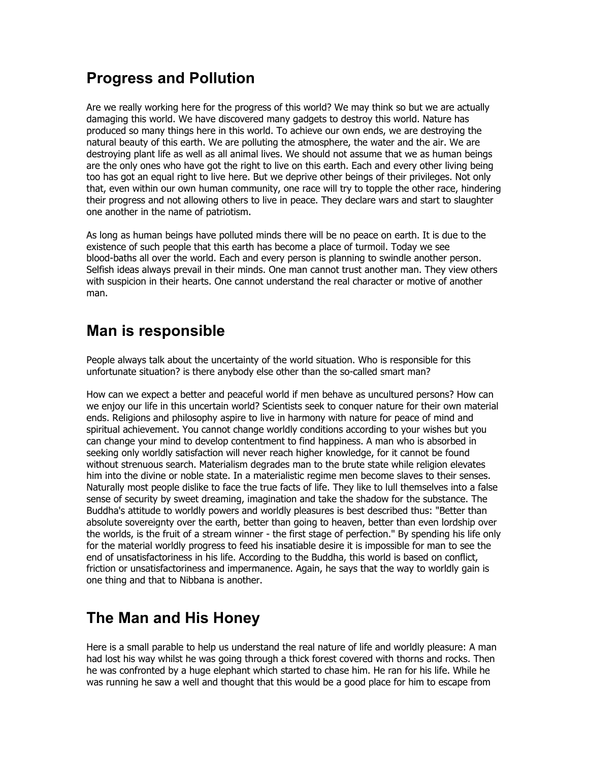## **Progress and Pollution**

Are we really working here for the progress of this world? We may think so but we are actually damaging this world. We have discovered many gadgets to destroy this world. Nature has produced so many things here in this world. To achieve our own ends, we are destroying the natural beauty of this earth. We are polluting the atmosphere, the water and the air. We are destroying plant life as well as all animal lives. We should not assume that we as human beings are the only ones who have got the right to live on this earth. Each and every other living being too has got an equal right to live here. But we deprive other beings of their privileges. Not only that, even within our own human community, one race will try to topple the other race, hindering their progress and not allowing others to live in peace. They declare wars and start to slaughter one another in the name of patriotism.

As long as human beings have polluted minds there will be no peace on earth. It is due to the existence of such people that this earth has become a place of turmoil. Today we see blood-baths all over the world. Each and every person is planning to swindle another person. Selfish ideas always prevail in their minds. One man cannot trust another man. They view others with suspicion in their hearts. One cannot understand the real character or motive of another man.

## **Man is responsible**

People always talk about the uncertainty of the world situation. Who is responsible for this unfortunate situation? is there anybody else other than the so-called smart man?

How can we expect a better and peaceful world if men behave as uncultured persons? How can we enjoy our life in this uncertain world? Scientists seek to conquer nature for their own material ends. Religions and philosophy aspire to live in harmony with nature for peace of mind and spiritual achievement. You cannot change worldly conditions according to your wishes but you can change your mind to develop contentment to find happiness. A man who is absorbed in seeking only worldly satisfaction will never reach higher knowledge, for it cannot be found without strenuous search. Materialism degrades man to the brute state while religion elevates him into the divine or noble state. In a materialistic regime men become slaves to their senses. Naturally most people dislike to face the true facts of life. They like to lull themselves into a false sense of security by sweet dreaming, imagination and take the shadow for the substance. The Buddha's attitude to worldly powers and worldly pleasures is best described thus: "Better than absolute sovereignty over the earth, better than going to heaven, better than even lordship over the worlds, is the fruit of a stream winner - the first stage of perfection." By spending his life only for the material worldly progress to feed his insatiable desire it is impossible for man to see the end of unsatisfactoriness in his life. According to the Buddha, this world is based on conflict, friction or unsatisfactoriness and impermanence. Again, he says that the way to worldly gain is one thing and that to Nibbana is another.

## **The Man and His Honey**

Here is a small parable to help us understand the real nature of life and worldly pleasure: A man had lost his way whilst he was going through a thick forest covered with thorns and rocks. Then he was confronted by a huge elephant which started to chase him. He ran for his life. While he was running he saw a well and thought that this would be a good place for him to escape from